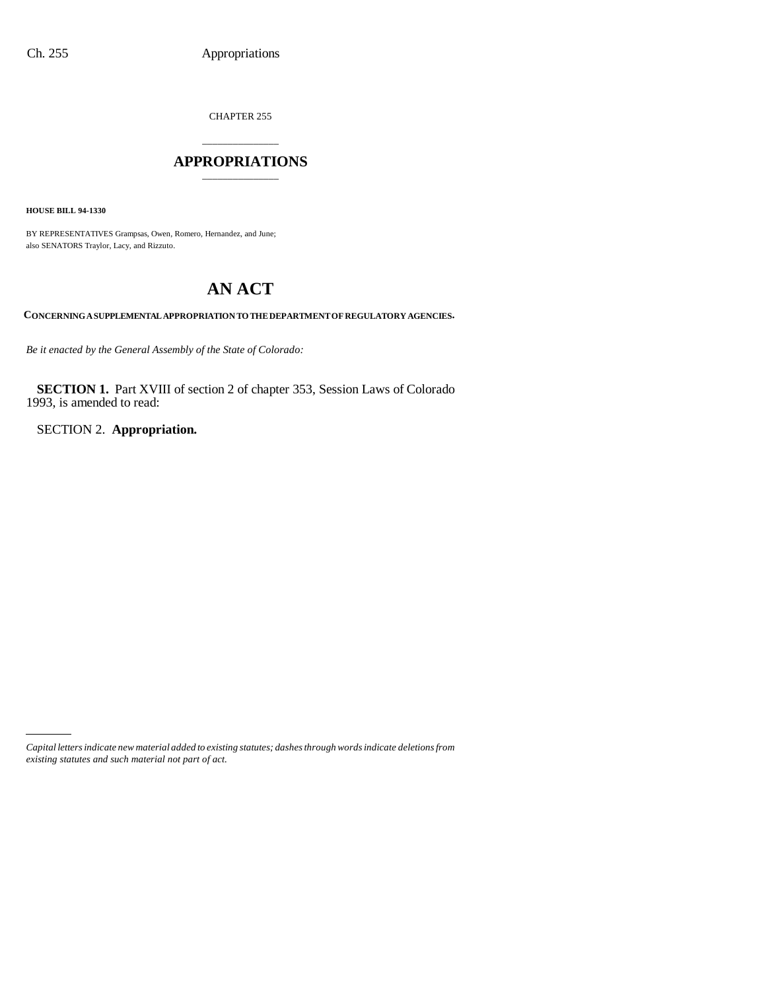CHAPTER 255

# \_\_\_\_\_\_\_\_\_\_\_\_\_\_\_ **APPROPRIATIONS** \_\_\_\_\_\_\_\_\_\_\_\_\_\_\_

**HOUSE BILL 94-1330**

BY REPRESENTATIVES Grampsas, Owen, Romero, Hernandez, and June; also SENATORS Traylor, Lacy, and Rizzuto.

# **AN ACT**

**CONCERNING A SUPPLEMENTAL APPROPRIATION TO THE DEPARTMENT OF REGULATORY AGENCIES.**

*Be it enacted by the General Assembly of the State of Colorado:*

**SECTION 1.** Part XVIII of section 2 of chapter 353, Session Laws of Colorado 1993, is amended to read:

SECTION 2. **Appropriation.**

*Capital letters indicate new material added to existing statutes; dashes through words indicate deletions from existing statutes and such material not part of act.*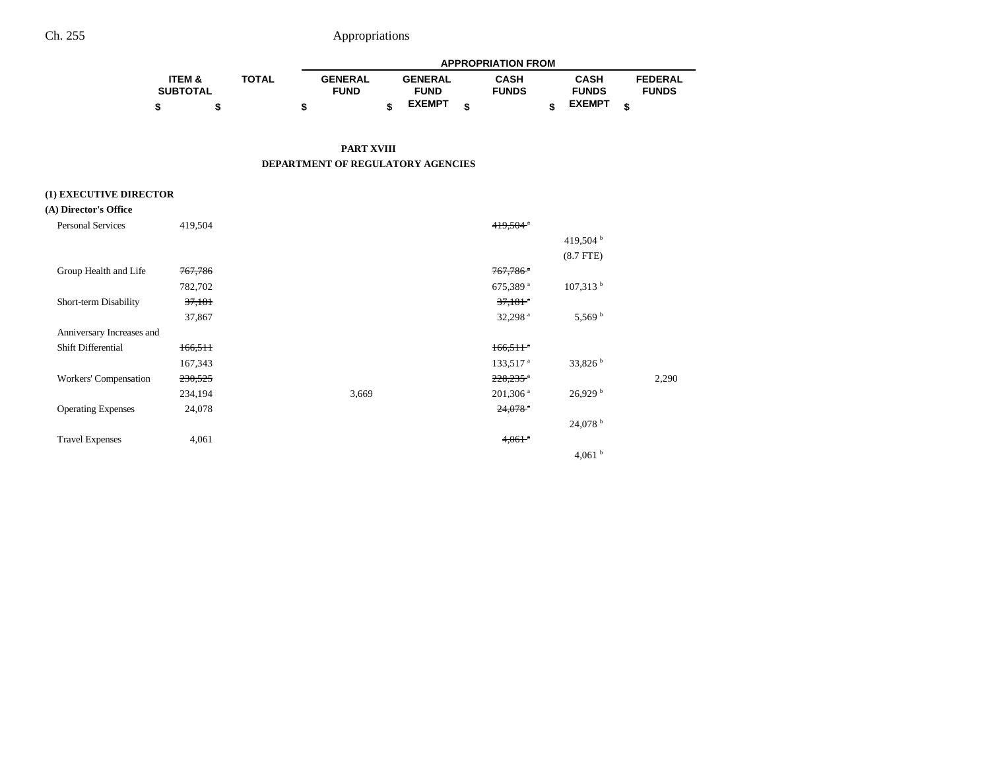|                   |              | <b>APPROPRIATION FROM</b> |  |                |  |              |  |               |   |                |
|-------------------|--------------|---------------------------|--|----------------|--|--------------|--|---------------|---|----------------|
| <b>ITEM &amp;</b> | <b>TOTAL</b> | <b>GENERAL</b>            |  | <b>GENERAL</b> |  | <b>CASH</b>  |  | <b>CASH</b>   |   | <b>FEDERAL</b> |
| <b>SUBTOTAL</b>   |              | <b>FUND</b>               |  | <b>FUND</b>    |  | <b>FUNDS</b> |  | <b>FUNDS</b>  |   | <b>FUNDS</b>   |
| \$                |              |                           |  | <b>EXEMPT</b>  |  |              |  | <b>EXEMPT</b> | ¢ |                |

**PART XVIII DEPARTMENT OF REGULATORY AGENCIES**

## **(1) EXECUTIVE DIRECTOR**

## **(A) Director's Office**

| <b>Personal Services</b>  | 419,504 |       | $419,504^{\circ}$      |                     |       |
|---------------------------|---------|-------|------------------------|---------------------|-------|
|                           |         |       |                        | 419,504 $^{\rm b}$  |       |
|                           |         |       |                        | $(8.7$ FTE)         |       |
| Group Health and Life     | 767,786 |       | $767,786$ <sup>a</sup> |                     |       |
|                           | 782,702 |       | 675,389 <sup>a</sup>   | $107,313$ b         |       |
| Short-term Disability     | 37,181  |       | $37,181$ <sup>a</sup>  |                     |       |
|                           | 37,867  |       | 32,298 $a$             | 5,569 <sup>b</sup>  |       |
| Anniversary Increases and |         |       |                        |                     |       |
| Shift Differential        | 166,511 |       | $166,511$ <sup>a</sup> |                     |       |
|                           | 167,343 |       | 133,517 <sup>a</sup>   | 33,826 <sup>b</sup> |       |
| Workers' Compensation     | 230,525 |       | $228,235$ <sup>a</sup> |                     | 2,290 |
|                           | 234,194 | 3,669 | $201,306$ <sup>a</sup> | 26,929 <sup>b</sup> |       |
| <b>Operating Expenses</b> | 24,078  |       | $24,078$ <sup>*</sup>  |                     |       |
|                           |         |       |                        | 24,078 b            |       |
| <b>Travel Expenses</b>    | 4,061   |       | $4,061$ <sup>a</sup>   |                     |       |
|                           |         |       |                        | 4,061 $^{\rm b}$    |       |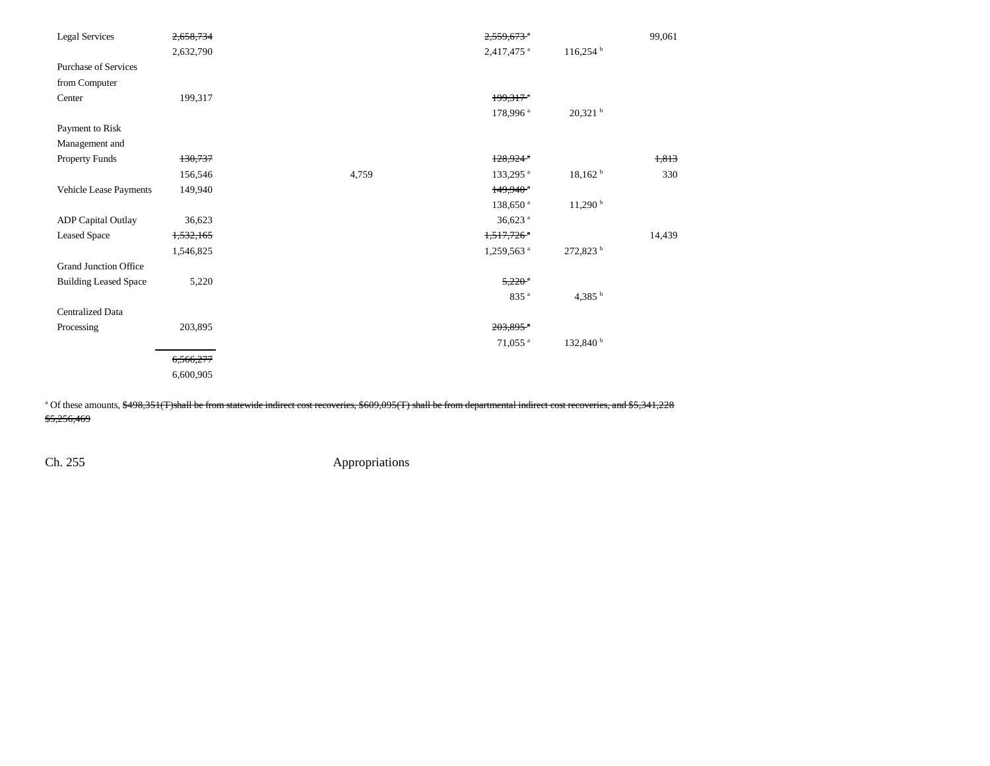| <b>Legal Services</b>        | 2,658,734 |       | $2,559,673$ <sup>a</sup> |                        | 99,061 |
|------------------------------|-----------|-------|--------------------------|------------------------|--------|
|                              | 2,632,790 |       | 2,417,475 <sup>a</sup>   | $116,254$ <sup>b</sup> |        |
| <b>Purchase of Services</b>  |           |       |                          |                        |        |
| from Computer                |           |       |                          |                        |        |
| Center                       | 199,317   |       | $199.317$ <sup>a</sup>   |                        |        |
|                              |           |       | 178,996 <sup>a</sup>     | $20,321$ <sup>b</sup>  |        |
| Payment to Risk              |           |       |                          |                        |        |
| Management and               |           |       |                          |                        |        |
| Property Funds               | 130,737   |       | $128.924$ <sup>a</sup>   |                        | 1,813  |
|                              | 156,546   | 4,759 | 133,295 <sup>a</sup>     | 18,162 h               | 330    |
| Vehicle Lease Payments       | 149,940   |       | $149,940$ <sup>*</sup>   |                        |        |
|                              |           |       | 138,650 <sup>a</sup>     | $11,290$ <sup>b</sup>  |        |
| <b>ADP</b> Capital Outlay    | 36,623    |       | $36,623$ <sup>a</sup>    |                        |        |
| <b>Leased Space</b>          | 1,532,165 |       | $1,517,726$ <sup>a</sup> |                        | 14,439 |
|                              | 1,546,825 |       | 1,259,563 <sup>a</sup>   | 272,823 <sup>b</sup>   |        |
| <b>Grand Junction Office</b> |           |       |                          |                        |        |
| <b>Building Leased Space</b> | 5,220     |       | $5,220$ <sup>a</sup>     |                        |        |
|                              |           |       | 835 <sup>a</sup>         | 4,385 $^{\rm b}$       |        |
| <b>Centralized Data</b>      |           |       |                          |                        |        |
| Processing                   | 203,895   |       | 203,895*                 |                        |        |
|                              |           |       | 71,055 <sup>a</sup>      | 132,840 <sup>b</sup>   |        |
|                              | 6,566,277 |       |                          |                        |        |
|                              | 6,600,905 |       |                          |                        |        |
|                              |           |       |                          |                        |        |

<sup>a</sup> Of these amounts, \$498,351(T)shall be from statewide indirect cost recoveries, \$609,095(T) shall be from departmental indirect cost recoveries, and \$5,341,228 \$5,256,469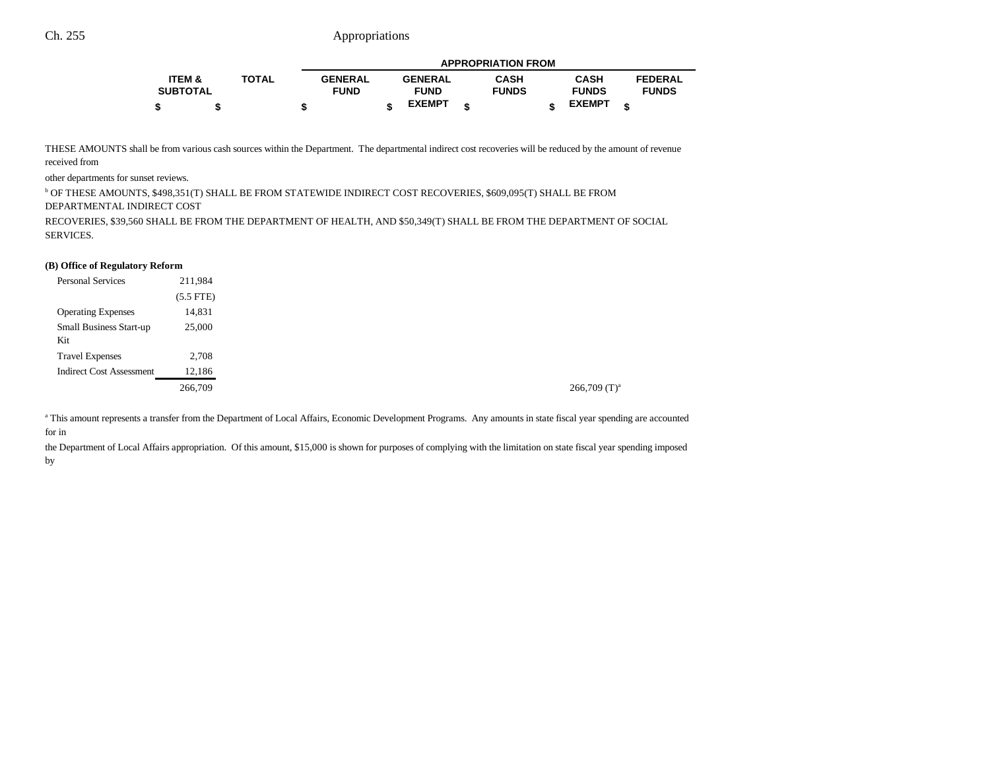|                   |              | <b>APPROPRIATION FROM</b> |  |                |   |              |  |               |   |                |
|-------------------|--------------|---------------------------|--|----------------|---|--------------|--|---------------|---|----------------|
| <b>ITEM &amp;</b> | <b>TOTAL</b> | <b>GENERAL</b>            |  | <b>GENERAL</b> |   | <b>CASH</b>  |  | CASH          |   | <b>FEDERAL</b> |
| <b>SUBTOTAL</b>   |              | <b>FUND</b>               |  | <b>FUND</b>    |   | <b>FUNDS</b> |  | <b>FUNDS</b>  |   | <b>FUNDS</b>   |
|                   |              |                           |  | <b>EXEMPT</b>  | ¢ |              |  | <b>EXEMPT</b> | ¢ |                |

THESE AMOUNTS shall be from various cash sources within the Department. The departmental indirect cost recoveries will be reduced by the amount of revenue received from

other departments for sunset reviews.

b OF THESE AMOUNTS, \$498,351(T) SHALL BE FROM STATEWIDE INDIRECT COST RECOVERIES, \$609,095(T) SHALL BE FROM

DEPARTMENTAL INDIRECT COST

RECOVERIES, \$39,560 SHALL BE FROM THE DEPARTMENT OF HEALTH, AND \$50,349(T) SHALL BE FROM THE DEPARTMENT OF SOCIAL SERVICES.

#### **(B) Office of Regulatory Reform**

| <b>Personal Services</b>        | 211,984     |
|---------------------------------|-------------|
|                                 | $(5.5$ FTE) |
| <b>Operating Expenses</b>       | 14,831      |
| <b>Small Business Start-up</b>  | 25,000      |
| Kit                             |             |
| <b>Travel Expenses</b>          | 2,708       |
| <b>Indirect Cost Assessment</b> | 12,186      |
|                                 | 266,709     |
|                                 |             |

a This amount represents a transfer from the Department of Local Affairs, Economic Development Programs. Any amounts in state fiscal year spending are accounted for in

the Department of Local Affairs appropriation. Of this amount, \$15,000 is shown for purposes of complying with the limitation on state fiscal year spending imposed by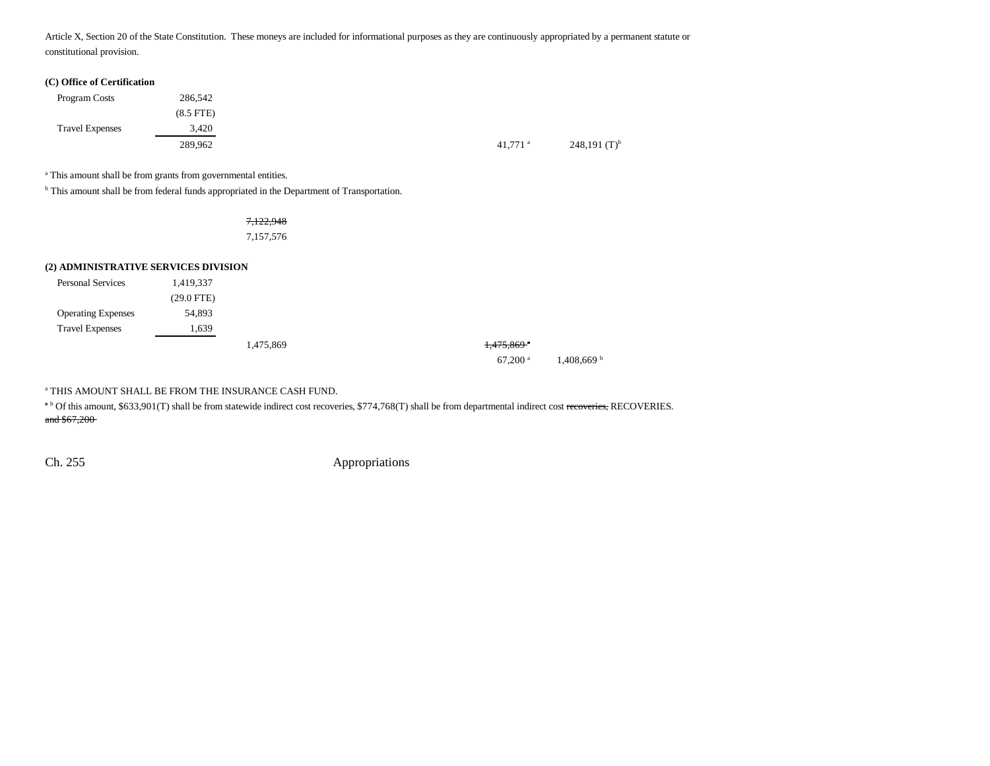Article X, Section 20 of the State Constitution. These moneys are included for informational purposes as they are continuously appropriated by a permanent statute or constitutional provision.

#### **(C) Office of Certification**

| Program Costs          | 286,542        |                       |
|------------------------|----------------|-----------------------|
|                        | $(8.5$ FTE $)$ |                       |
| <b>Travel Expenses</b> | 3.420          |                       |
|                        | 289,962        | $41,771$ <sup>a</sup> |

<sup>a</sup> This amount shall be from grants from governmental entities.

<sup>b</sup> This amount shall be from federal funds appropriated in the Department of Transportation.

7,122,948 7,157,576

### **(2) ADMINISTRATIVE SERVICES DIVISION**

| <b>Personal Services</b>  | 1,419,337    |           |                        |
|---------------------------|--------------|-----------|------------------------|
|                           | $(29.0$ FTE) |           |                        |
| <b>Operating Expenses</b> | 54,893       |           |                        |
| <b>Travel Expenses</b>    | 1.639        |           |                        |
|                           |              | 1,475,869 | 1,475,869 <sup>*</sup> |

67,200 a 1,408,669 b

a THIS AMOUNT SHALL BE FROM THE INSURANCE CASH FUND.

<sup>a b</sup> Of this amount, \$633,901(T) shall be from statewide indirect cost recoveries, \$774,768(T) shall be from departmental indirect cost recoveries, RECOVERIES. and \$67,200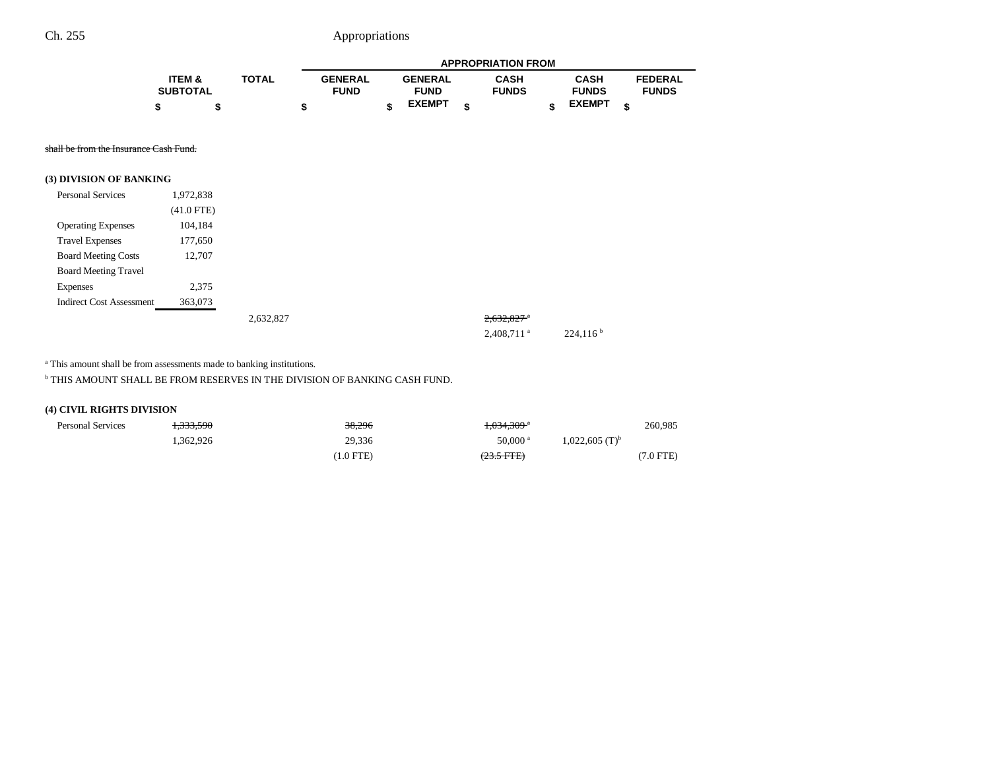|                   |              | <b>APPROPRIATION FROM</b> |  |                |   |              |  |               |   |                |
|-------------------|--------------|---------------------------|--|----------------|---|--------------|--|---------------|---|----------------|
| <b>ITEM &amp;</b> | <b>TOTAL</b> | <b>GENERAL</b>            |  | <b>GENERAL</b> |   | <b>CASH</b>  |  | <b>CASH</b>   |   | <b>FEDERAL</b> |
| <b>SUBTOTAL</b>   |              | <b>FUND</b>               |  | <b>FUND</b>    |   | <b>FUNDS</b> |  | <b>FUNDS</b>  |   | <b>FUNDS</b>   |
|                   |              |                           |  | <b>EXEMPT</b>  | ¢ |              |  | <b>EXEMPT</b> | ¢ |                |

shall be from the Insurance Cash Fund.

|  | (3) DIVISION OF BANKING |
|--|-------------------------|
|--|-------------------------|

| <b>Personal Services</b>        | 1,972,838    |           |  |                          |                      |
|---------------------------------|--------------|-----------|--|--------------------------|----------------------|
|                                 | $(41.0$ FTE) |           |  |                          |                      |
| <b>Operating Expenses</b>       | 104,184      |           |  |                          |                      |
| <b>Travel Expenses</b>          | 177,650      |           |  |                          |                      |
| <b>Board Meeting Costs</b>      | 12,707       |           |  |                          |                      |
| <b>Board Meeting Travel</b>     |              |           |  |                          |                      |
| <b>Expenses</b>                 | 2,375        |           |  |                          |                      |
| <b>Indirect Cost Assessment</b> | 363,073      |           |  |                          |                      |
|                                 |              | 2,632,827 |  | $2,632,827$ <sup>a</sup> |                      |
|                                 |              |           |  | 2,408,711 <sup>a</sup>   | 224,116 <sup>b</sup> |

<sup>a</sup> This amount shall be from assessments made to banking institutions.

 $^{\rm b}$  THIS AMOUNT SHALL BE FROM RESERVES IN THE DIVISION OF BANKING CASH FUND.

## **(4) CIVIL RIGHTS DIVISION**

| <b>Personal Services</b> | 1.222.500<br>1,333,390 | 38,296     | $+0.34 \cdot 309$ <sup>*</sup> |                              | 260,985   |
|--------------------------|------------------------|------------|--------------------------------|------------------------------|-----------|
|                          | .362.926               | 29,336     | $50,000$ <sup>a</sup>          | $1,022,605$ (T) <sup>b</sup> |           |
|                          |                        | $1.0$ FTE) | $(23.5 \text{ FFE})$           |                              | (7.0 FTE) |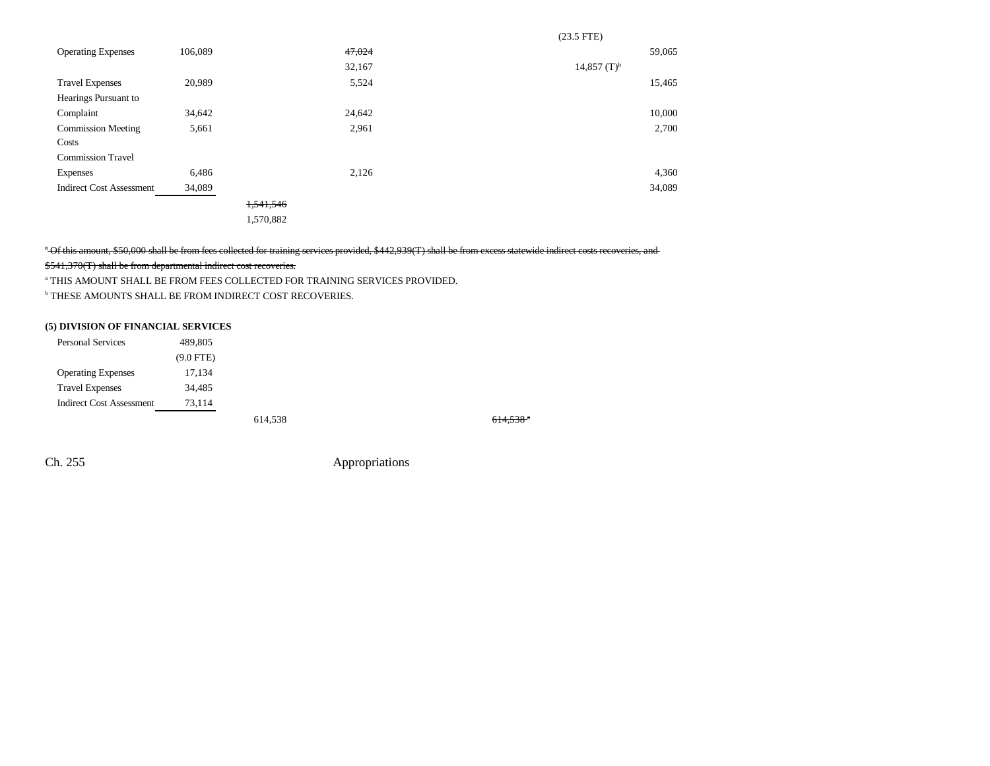|                                 |         |           |        | $(23.5$ FTE)              |        |
|---------------------------------|---------|-----------|--------|---------------------------|--------|
| <b>Operating Expenses</b>       | 106,089 |           | 47,024 |                           | 59,065 |
|                                 |         |           | 32,167 | $14,857$ (T) <sup>b</sup> |        |
| <b>Travel Expenses</b>          | 20,989  |           | 5,524  |                           | 15,465 |
| Hearings Pursuant to            |         |           |        |                           |        |
| Complaint                       | 34,642  |           | 24,642 |                           | 10,000 |
| <b>Commission Meeting</b>       | 5,661   |           | 2,961  |                           | 2,700  |
| Costs                           |         |           |        |                           |        |
| <b>Commission Travel</b>        |         |           |        |                           |        |
| Expenses                        | 6,486   |           | 2,126  |                           | 4,360  |
| <b>Indirect Cost Assessment</b> | 34,089  |           |        |                           | 34,089 |
|                                 |         | 1,541,546 |        |                           |        |
|                                 |         | 1,570,882 |        |                           |        |

<sup>7</sup> Of this amount, \$50,000 shall be from fees collected for training services provided, \$442,939(T) shall be from excess statewide indirect costs recoveries, and

## \$541,370(T) shall be from departmental indirect cost recoveries.

a THIS AMOUNT SHALL BE FROM FEES COLLECTED FOR TRAINING SERVICES PROVIDED.

b THESE AMOUNTS SHALL BE FROM INDIRECT COST RECOVERIES.

### **(5) DIVISION OF FINANCIAL SERVICES**

| <b>Personal Services</b>        | 489,805     |         |         |
|---------------------------------|-------------|---------|---------|
|                                 | $(9.0$ FTE) |         |         |
| <b>Operating Expenses</b>       | 17,134      |         |         |
| <b>Travel Expenses</b>          | 34,485      |         |         |
| <b>Indirect Cost Assessment</b> | 73.114      |         |         |
|                                 |             | 614,538 | 614.538 |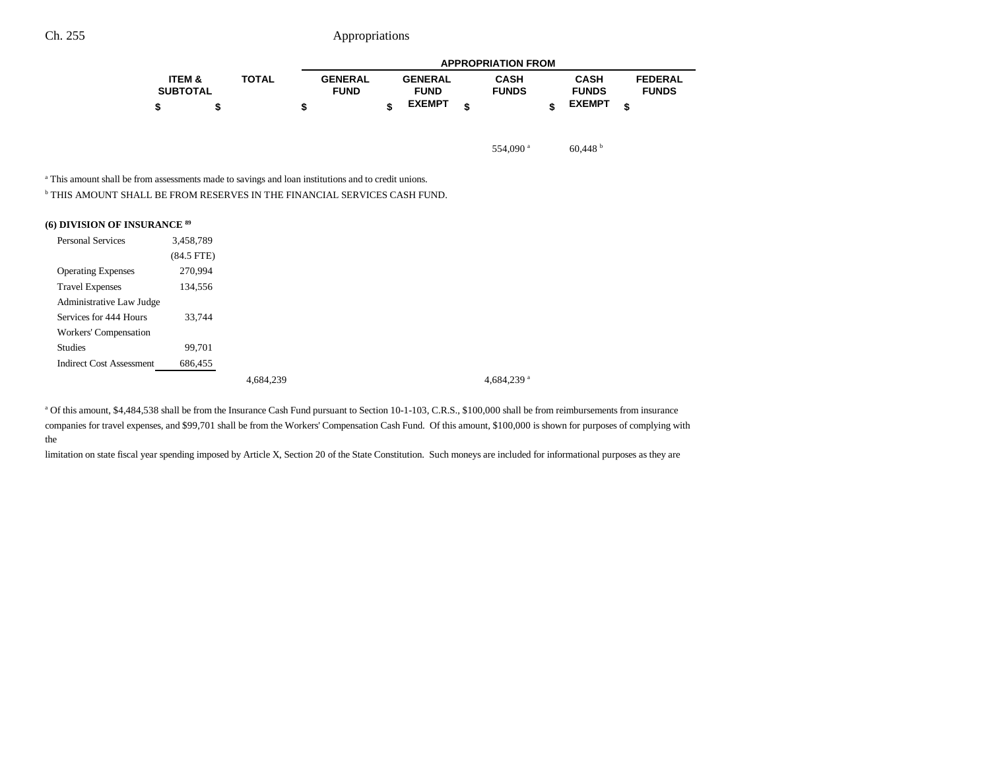|                   |              |   | <b>APPROPRIATION FROM</b> |  |                |   |              |  |               |                |  |  |
|-------------------|--------------|---|---------------------------|--|----------------|---|--------------|--|---------------|----------------|--|--|
| <b>ITEM &amp;</b> | <b>TOTAL</b> |   | <b>GENERAL</b>            |  | <b>GENERAL</b> |   | <b>CASH</b>  |  | <b>CASH</b>   | <b>FEDERAL</b> |  |  |
| <b>SUBTOTAL</b>   |              |   | <b>FUND</b>               |  | <b>FUND</b>    |   | <b>FUNDS</b> |  | <b>FUNDS</b>  | <b>FUNDS</b>   |  |  |
|                   |              | œ |                           |  | <b>EXEMPT</b>  | ¢ |              |  | <b>EXEMPT</b> | ¢              |  |  |

554,090  $^{\circ}$  60,448  $^{\circ}$ 

<sup>a</sup> This amount shall be from assessments made to savings and loan institutions and to credit unions.

 $^{\rm b}$  THIS AMOUNT SHALL BE FROM RESERVES IN THE FINANCIAL SERVICES CASH FUND.

| (6) DIVISION OF INSURANCE 89 |  |  |  |  |  |
|------------------------------|--|--|--|--|--|
|------------------------------|--|--|--|--|--|

| <b>Personal Services</b>        | 3,458,789    |           |               |
|---------------------------------|--------------|-----------|---------------|
|                                 | $(84.5$ FTE) |           |               |
| <b>Operating Expenses</b>       | 270,994      |           |               |
| <b>Travel Expenses</b>          | 134,556      |           |               |
| Administrative Law Judge        |              |           |               |
| Services for 444 Hours          | 33.744       |           |               |
| Workers' Compensation           |              |           |               |
| <b>Studies</b>                  | 99,701       |           |               |
| <b>Indirect Cost Assessment</b> | 686,455      |           |               |
|                                 |              | 4,684,239 | 4.684.239 $a$ |

<sup>a</sup> Of this amount, \$4,484,538 shall be from the Insurance Cash Fund pursuant to Section 10-1-103, C.R.S., \$100,000 shall be from reimbursements from insurance companies for travel expenses, and \$99,701 shall be from the Workers' Compensation Cash Fund. Of this amount, \$100,000 is shown for purposes of complying with the

limitation on state fiscal year spending imposed by Article X, Section 20 of the State Constitution. Such moneys are included for informational purposes as they are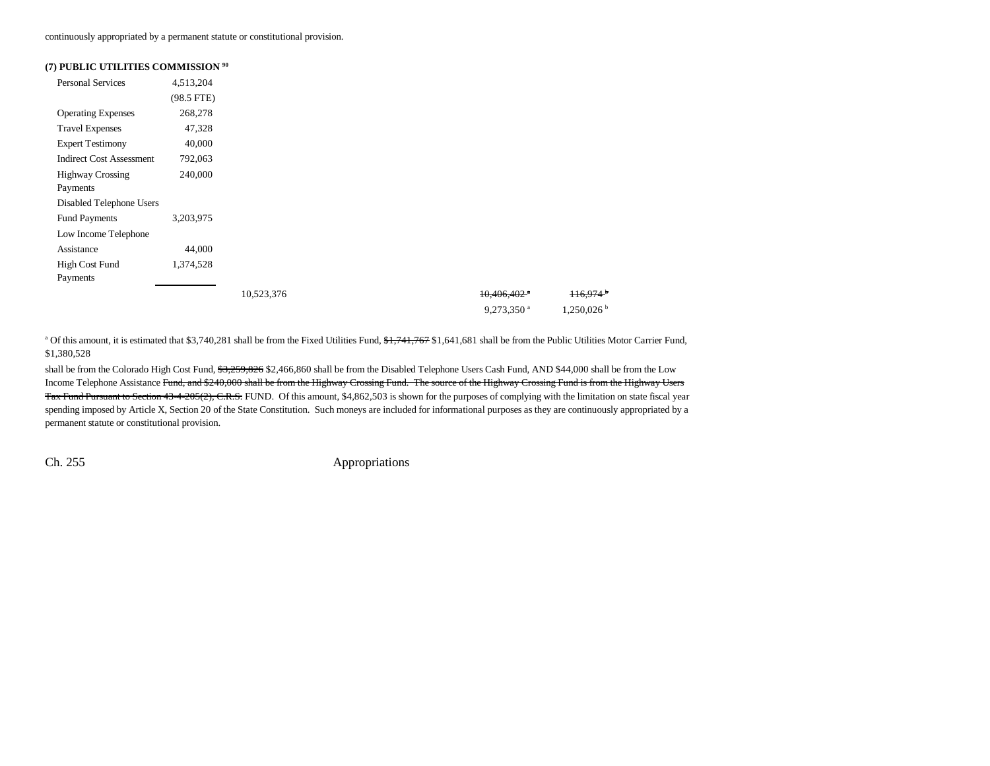continuously appropriated by a permanent statute or constitutional provision.

#### **(7) PUBLIC UTILITIES COMMISSION 90**

| <b>Personal Services</b>        | 4,513,204    |            |                           |                        |
|---------------------------------|--------------|------------|---------------------------|------------------------|
|                                 | $(98.5$ FTE) |            |                           |                        |
| <b>Operating Expenses</b>       | 268,278      |            |                           |                        |
| <b>Travel Expenses</b>          | 47,328       |            |                           |                        |
| <b>Expert Testimony</b>         | 40,000       |            |                           |                        |
| <b>Indirect Cost Assessment</b> | 792,063      |            |                           |                        |
| <b>Highway Crossing</b>         | 240,000      |            |                           |                        |
| Payments                        |              |            |                           |                        |
| Disabled Telephone Users        |              |            |                           |                        |
| <b>Fund Payments</b>            | 3,203,975    |            |                           |                        |
| Low Income Telephone            |              |            |                           |                        |
| Assistance                      | 44,000       |            |                           |                        |
| High Cost Fund                  | 1,374,528    |            |                           |                        |
| Payments                        |              |            |                           |                        |
|                                 |              | 10,523,376 | $10,406,402$ <sup>a</sup> | $116.974$ <sup>b</sup> |
|                                 |              |            | $9,273,350$ <sup>a</sup>  | 1,250,026              |

<sup>a</sup> Of this amount, it is estimated that \$3,740,281 shall be from the Fixed Utilities Fund,  $\frac{41,741,767}{31,641,681}$  shall be from the Public Utilities Motor Carrier Fund, \$1,380,528

shall be from the Colorado High Cost Fund, \$3,259,826 \$2,466,860 shall be from the Disabled Telephone Users Cash Fund, AND \$44,000 shall be from the Low Income Telephone Assistance Fund, and \$240,000 shall be from the Highway Crossing Fund. The source of the Highway Crossing Fund is from the Highway Users Tax Fund Pursuant to Section 43-4-205(2), C.R.S. FUND. Of this amount, \$4,862,503 is shown for the purposes of complying with the limitation on state fiscal year spending imposed by Article X, Section 20 of the State Constitution. Such moneys are included for informational purposes as they are continuously appropriated by a permanent statute or constitutional provision.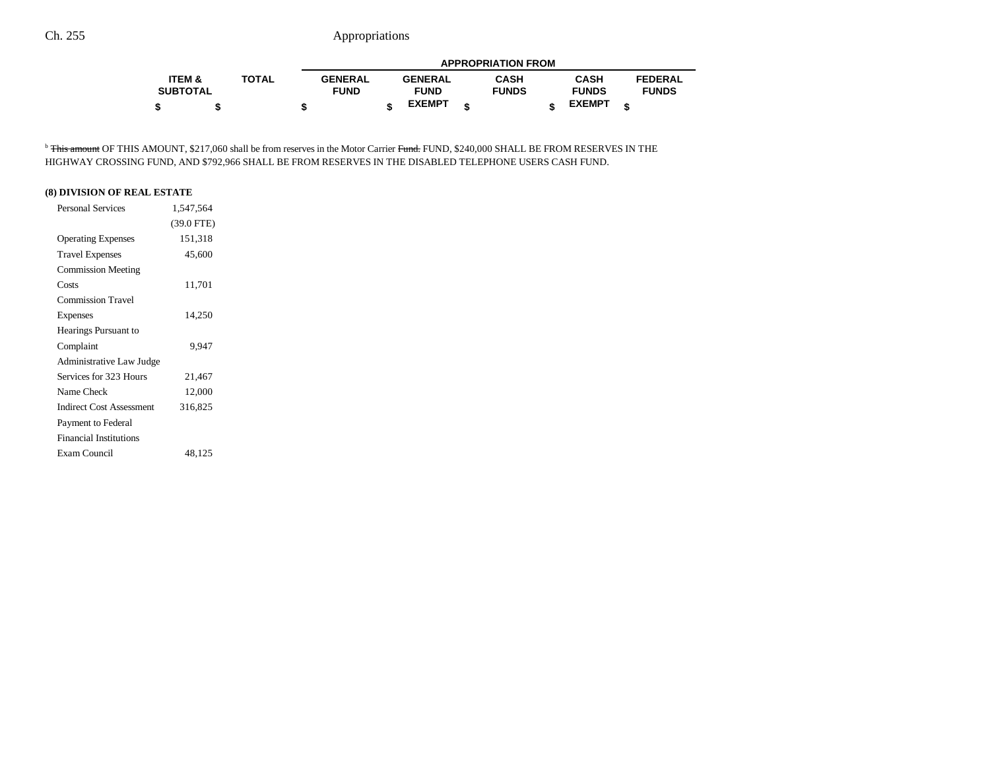|                   |              |                | <b>APPROPRIATION FROM</b> |                |  |              |  |               |                |  |  |  |
|-------------------|--------------|----------------|---------------------------|----------------|--|--------------|--|---------------|----------------|--|--|--|
| <b>ITEM &amp;</b> | <b>TOTAL</b> | <b>GENERAL</b> |                           | <b>GENERAL</b> |  | <b>CASH</b>  |  | <b>CASH</b>   | <b>FEDERAL</b> |  |  |  |
| <b>SUBTOTAL</b>   |              | <b>FUND</b>    |                           | <b>FUND</b>    |  | <b>FUNDS</b> |  | <b>FUNDS</b>  | <b>FUNDS</b>   |  |  |  |
|                   |              |                |                           | <b>EXEMPT</b>  |  |              |  | <b>EXEMPT</b> |                |  |  |  |

<sup>b</sup> This amount OF THIS AMOUNT, \$217,060 shall be from reserves in the Motor Carrier Fund. FUND, \$240,000 SHALL BE FROM RESERVES IN THE HIGHWAY CROSSING FUND, AND \$792,966 SHALL BE FROM RESERVES IN THE DISABLED TELEPHONE USERS CASH FUND.

## **(8) DIVISION OF REAL ESTATE**

| <b>Personal Services</b>        | 1,547,564    |
|---------------------------------|--------------|
|                                 | $(39.0$ FTE) |
| <b>Operating Expenses</b>       | 151,318      |
| <b>Travel Expenses</b>          | 45,600       |
| <b>Commission Meeting</b>       |              |
| Costs                           | 11,701       |
| <b>Commission Travel</b>        |              |
| Expenses                        | 14,250       |
| Hearings Pursuant to            |              |
| Complaint                       | 9.947        |
| Administrative Law Judge        |              |
| Services for 323 Hours          | 21,467       |
| Name Check                      | 12,000       |
| <b>Indirect Cost Assessment</b> | 316,825      |
| Payment to Federal              |              |
| <b>Financial Institutions</b>   |              |
| Exam Council                    | 48,125       |
|                                 |              |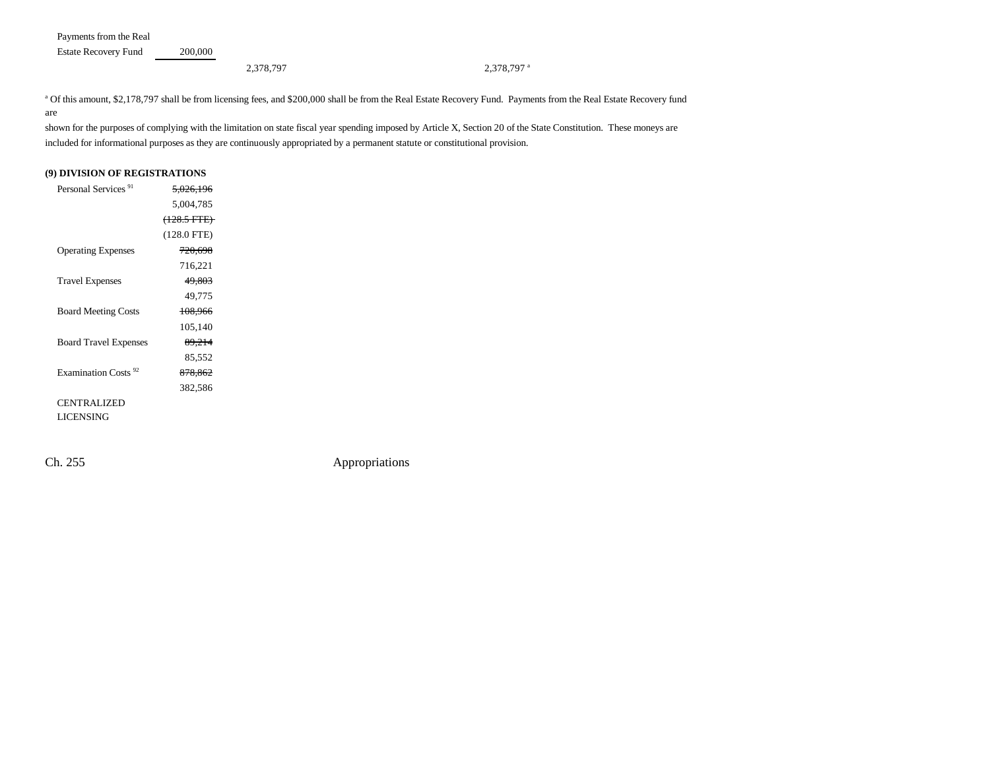Payments from the Real Estate Recovery Fund 200,000

### 2,378,797 a 2,378,797 a 2,378,797 a 2,378,797 a 2,378,797 a 2

<sup>a</sup> Of this amount, \$2,178,797 shall be from licensing fees, and \$200,000 shall be from the Real Estate Recovery Fund. Payments from the Real Estate Recovery fund are

shown for the purposes of complying with the limitation on state fiscal year spending imposed by Article X, Section 20 of the State Constitution. These moneys are included for informational purposes as they are continuously appropriated by a permanent statute or constitutional provision.

### **(9) DIVISION OF REGISTRATIONS**

| Personal Services <sup>91</sup> | <del>5,026,196</del>   |  |
|---------------------------------|------------------------|--|
|                                 | 5,004,785              |  |
|                                 | <del>(128.5 FTE)</del> |  |
|                                 | $(128.0$ FTE)          |  |
| <b>Operating Expenses</b>       | <del>720,698</del>     |  |
|                                 | 716,221                |  |
| <b>Travel Expenses</b>          | 49,803                 |  |
|                                 | 49,775                 |  |
| <b>Board Meeting Costs</b>      | 108,966                |  |
|                                 | 105,140                |  |
| <b>Board Travel Expenses</b>    | 89,214                 |  |
|                                 | 85,552                 |  |
| Examination Costs <sup>92</sup> | 878,862                |  |
|                                 | 382,586                |  |
| <b>CENTRALIZED</b>              |                        |  |
| <b>LICENSING</b>                |                        |  |
|                                 |                        |  |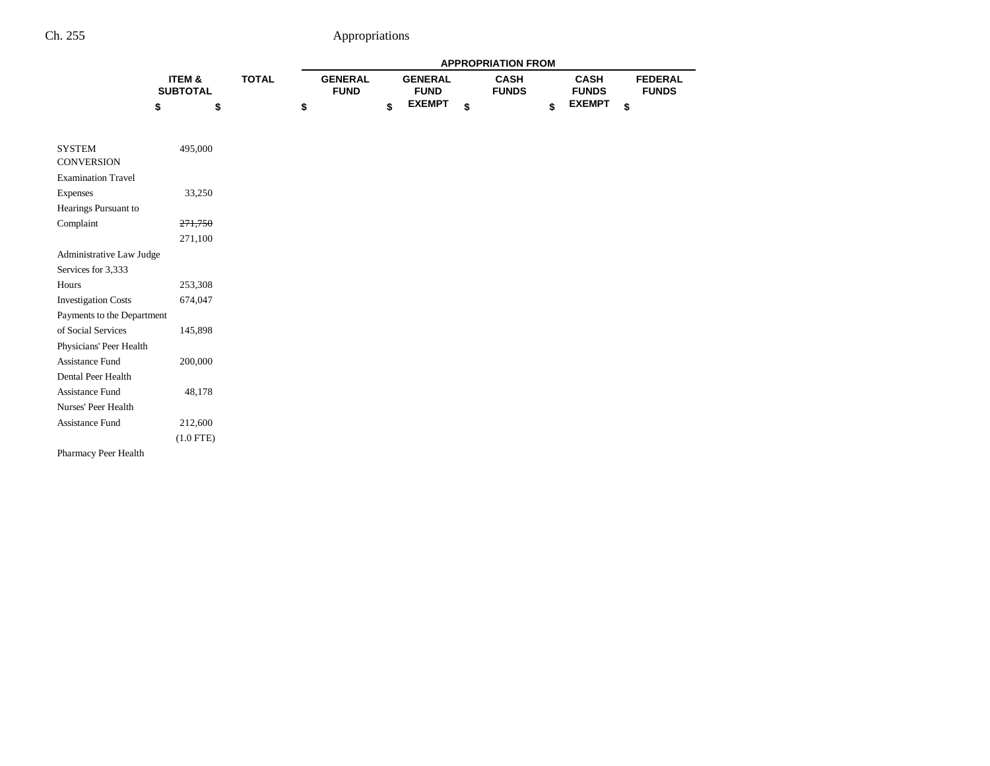|                                    |                           |              | <b>APPROPRIATION FROM</b>     |    |                               |    |                             |    |                             |    |                                |  |
|------------------------------------|---------------------------|--------------|-------------------------------|----|-------------------------------|----|-----------------------------|----|-----------------------------|----|--------------------------------|--|
|                                    | ITEM &<br><b>SUBTOTAL</b> | <b>TOTAL</b> | <b>GENERAL</b><br><b>FUND</b> |    | <b>GENERAL</b><br><b>FUND</b> |    | <b>CASH</b><br><b>FUNDS</b> |    | <b>CASH</b><br><b>FUNDS</b> |    | <b>FEDERAL</b><br><b>FUNDS</b> |  |
|                                    | \$                        | \$           | \$                            | \$ | <b>EXEMPT</b>                 | \$ |                             | \$ | <b>EXEMPT</b>               | \$ |                                |  |
|                                    |                           |              |                               |    |                               |    |                             |    |                             |    |                                |  |
|                                    |                           |              |                               |    |                               |    |                             |    |                             |    |                                |  |
| <b>SYSTEM</b><br><b>CONVERSION</b> | 495,000                   |              |                               |    |                               |    |                             |    |                             |    |                                |  |
| <b>Examination Travel</b>          |                           |              |                               |    |                               |    |                             |    |                             |    |                                |  |
| Expenses                           | 33,250                    |              |                               |    |                               |    |                             |    |                             |    |                                |  |
| Hearings Pursuant to               |                           |              |                               |    |                               |    |                             |    |                             |    |                                |  |
| Complaint                          | 271,750                   |              |                               |    |                               |    |                             |    |                             |    |                                |  |
|                                    | 271,100                   |              |                               |    |                               |    |                             |    |                             |    |                                |  |
| Administrative Law Judge           |                           |              |                               |    |                               |    |                             |    |                             |    |                                |  |
| Services for 3,333                 |                           |              |                               |    |                               |    |                             |    |                             |    |                                |  |
| Hours                              | 253,308                   |              |                               |    |                               |    |                             |    |                             |    |                                |  |
| <b>Investigation Costs</b>         | 674,047                   |              |                               |    |                               |    |                             |    |                             |    |                                |  |
| Payments to the Department         |                           |              |                               |    |                               |    |                             |    |                             |    |                                |  |
| of Social Services                 | 145,898                   |              |                               |    |                               |    |                             |    |                             |    |                                |  |
| Physicians' Peer Health            |                           |              |                               |    |                               |    |                             |    |                             |    |                                |  |
| Assistance Fund                    | 200,000                   |              |                               |    |                               |    |                             |    |                             |    |                                |  |
| Dental Peer Health                 |                           |              |                               |    |                               |    |                             |    |                             |    |                                |  |
| Assistance Fund                    | 48,178                    |              |                               |    |                               |    |                             |    |                             |    |                                |  |
| Nurses' Peer Health                |                           |              |                               |    |                               |    |                             |    |                             |    |                                |  |
| Assistance Fund                    | 212,600                   |              |                               |    |                               |    |                             |    |                             |    |                                |  |
|                                    | $(1.0$ FTE)               |              |                               |    |                               |    |                             |    |                             |    |                                |  |
| Pharmacy Peer Health               |                           |              |                               |    |                               |    |                             |    |                             |    |                                |  |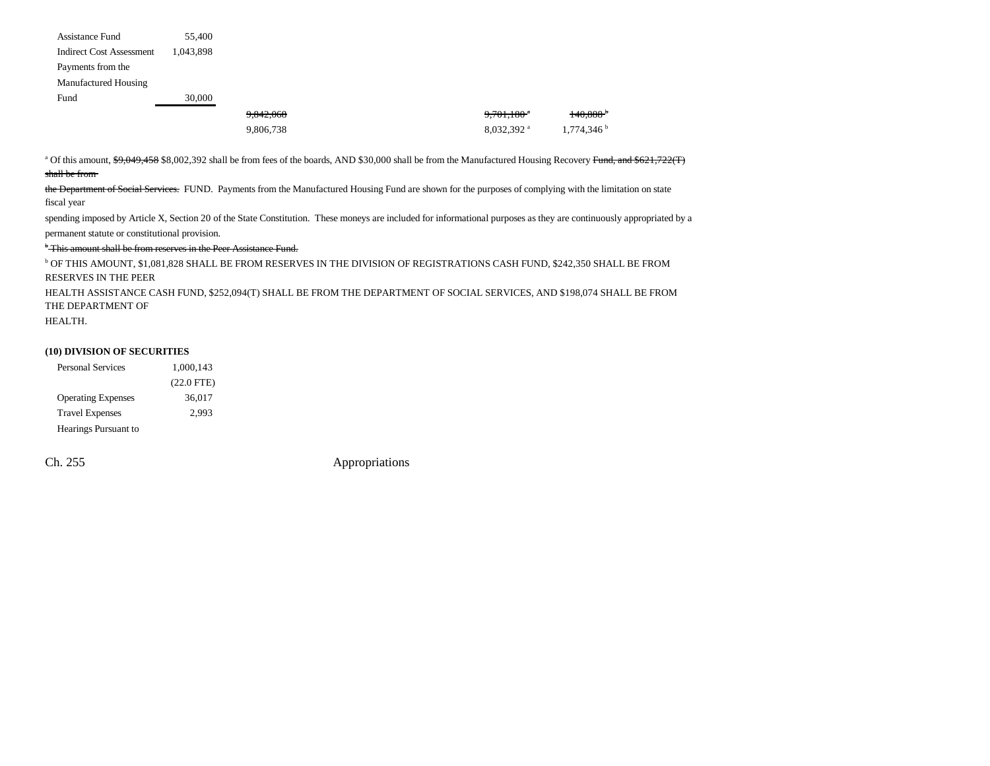| Assistance Fund                 | 55,400    |           |                          |                          |
|---------------------------------|-----------|-----------|--------------------------|--------------------------|
| <b>Indirect Cost Assessment</b> | 1.043.898 |           |                          |                          |
| Payments from the               |           |           |                          |                          |
| Manufactured Housing            |           |           |                          |                          |
| Fund                            | 30,000    |           |                          |                          |
|                                 |           | 9,842,068 | $9,701,180$ <sup>a</sup> | $140,888$ <sup>+</sup>   |
|                                 |           | 9,806,738 | $8,032,392$ <sup>a</sup> | $1,774,346$ <sup>b</sup> |

<sup>a</sup> Of this amount, \$9,049,458 \$8,002,392 shall be from fees of the boards, AND \$30,000 shall be from the Manufactured Housing Recovery Fund, and \$621,722(T) shall be from

the Department of Social Services. FUND. Payments from the Manufactured Housing Fund are shown for the purposes of complying with the limitation on state fiscal year

spending imposed by Article X, Section 20 of the State Constitution. These moneys are included for informational purposes as they are continuously appropriated by a permanent statute or constitutional provision.

<sup>b</sup> This amount shall be from reserves in the Peer Assistance Fund.

b OF THIS AMOUNT, \$1,081,828 SHALL BE FROM RESERVES IN THE DIVISION OF REGISTRATIONS CASH FUND, \$242,350 SHALL BE FROM RESERVES IN THE PEER

HEALTH ASSISTANCE CASH FUND, \$252,094(T) SHALL BE FROM THE DEPARTMENT OF SOCIAL SERVICES, AND \$198,074 SHALL BE FROM THE DEPARTMENT OF

HEALTH.

#### **(10) DIVISION OF SECURITIES**

| <b>Personal Services</b>  | 1.000.143    |
|---------------------------|--------------|
|                           | $(22.0$ FTE) |
| <b>Operating Expenses</b> | 36,017       |
| <b>Travel Expenses</b>    | 2.993        |
| Hearings Pursuant to      |              |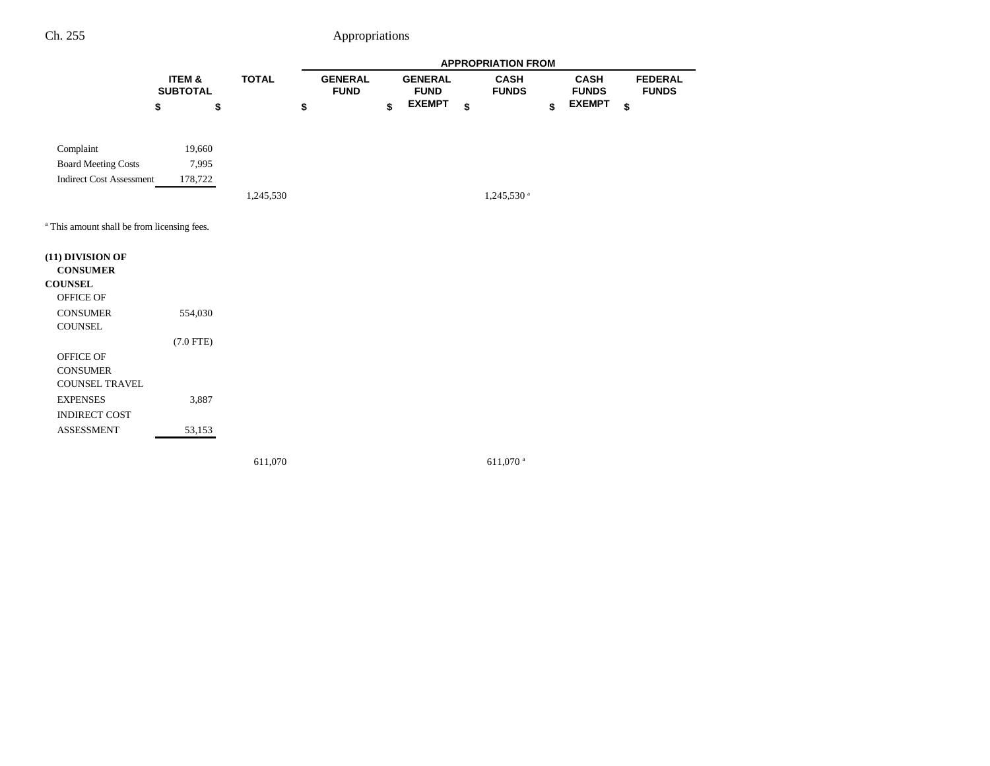|                                                        |                           |              |                               |                               | <b>APPROPRIATION FROM</b>   |                             |                                |
|--------------------------------------------------------|---------------------------|--------------|-------------------------------|-------------------------------|-----------------------------|-----------------------------|--------------------------------|
|                                                        | ITEM &<br><b>SUBTOTAL</b> | <b>TOTAL</b> | <b>GENERAL</b><br><b>FUND</b> | <b>GENERAL</b><br><b>FUND</b> | <b>CASH</b><br><b>FUNDS</b> | <b>CASH</b><br><b>FUNDS</b> | <b>FEDERAL</b><br><b>FUNDS</b> |
|                                                        | \$<br>\$                  |              | \$                            | \$<br><b>EXEMPT</b>           | \$                          | \$<br><b>EXEMPT</b>         | \$                             |
| Complaint                                              | 19,660                    |              |                               |                               |                             |                             |                                |
| <b>Board Meeting Costs</b>                             | 7,995                     |              |                               |                               |                             |                             |                                |
| <b>Indirect Cost Assessment</b>                        | 178,722                   |              |                               |                               |                             |                             |                                |
|                                                        |                           | 1,245,530    |                               |                               | 1,245,530 <sup>a</sup>      |                             |                                |
| <sup>a</sup> This amount shall be from licensing fees. |                           |              |                               |                               |                             |                             |                                |
| (11) DIVISION OF                                       |                           |              |                               |                               |                             |                             |                                |
| <b>CONSUMER</b>                                        |                           |              |                               |                               |                             |                             |                                |
| <b>COUNSEL</b><br>OFFICE OF                            |                           |              |                               |                               |                             |                             |                                |
| <b>CONSUMER</b><br>COUNSEL                             | 554,030                   |              |                               |                               |                             |                             |                                |
|                                                        | $(7.0$ FTE)               |              |                               |                               |                             |                             |                                |
| OFFICE OF<br><b>CONSUMER</b><br><b>COUNSEL TRAVEL</b>  |                           |              |                               |                               |                             |                             |                                |
| <b>EXPENSES</b>                                        | 3,887                     |              |                               |                               |                             |                             |                                |
| INDIRECT COST                                          |                           |              |                               |                               |                             |                             |                                |
| <b>ASSESSMENT</b>                                      | 53,153                    |              |                               |                               |                             |                             |                                |
|                                                        |                           |              |                               |                               |                             |                             |                                |

611,070 611,070 a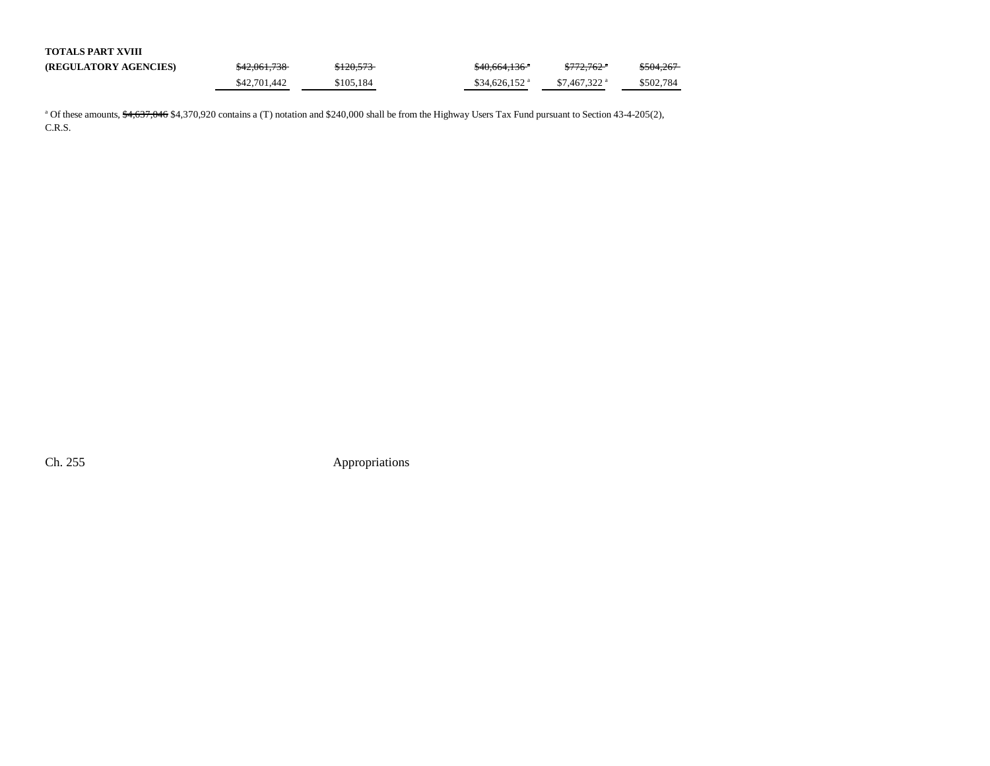| <b>TOTALS PART XVIII</b>     |              |           |                            |                           |           |
|------------------------------|--------------|-----------|----------------------------|---------------------------|-----------|
| <b>(REGULATORY AGENCIES)</b> | \$42,061,738 | \$120,573 | \$40,664,136 <sup>a</sup>  | $$772.762$ <sup>*</sup>   | \$504,267 |
|                              | \$42,701,442 | \$105.184 | $$34.626.152$ <sup>a</sup> | $$7.467.322$ <sup>a</sup> | \$502.784 |

<sup>a</sup> Of these amounts, \$4,637,046 \$4,370,920 contains a (T) notation and \$240,000 shall be from the Highway Users Tax Fund pursuant to Section 43-4-205(2), C.R.S.